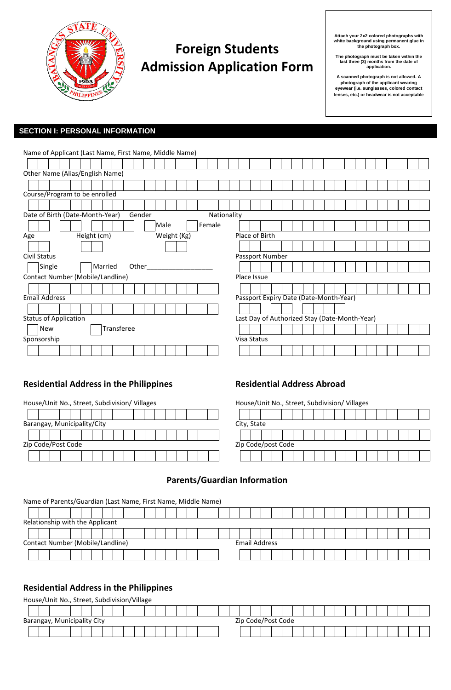

# **Foreign Students Admission Application Form**

**Attach your 2x2 colored photographs with white background using permanent glue in the photograph box.** 

**The photograph must be taken within the last three (3) months from the date of application.** 

**A scanned photograph is not allowed. A photograph of the applicant wearing eyewear (i.e. sunglasses, colored contact lenses, etc.) or headwear is not acceptable** 

## **SECTION I: PERSONAL INFORMATION**

| Name of Applicant (Last Name, First Name, Middle Name)   |                                               |  |  |  |  |  |  |  |  |  |  |  |
|----------------------------------------------------------|-----------------------------------------------|--|--|--|--|--|--|--|--|--|--|--|
|                                                          |                                               |  |  |  |  |  |  |  |  |  |  |  |
| Other Name (Alias/English Name)                          |                                               |  |  |  |  |  |  |  |  |  |  |  |
|                                                          |                                               |  |  |  |  |  |  |  |  |  |  |  |
| Course/Program to be enrolled                            |                                               |  |  |  |  |  |  |  |  |  |  |  |
|                                                          |                                               |  |  |  |  |  |  |  |  |  |  |  |
| Date of Birth (Date-Month-Year)<br>Gender<br>Nationality |                                               |  |  |  |  |  |  |  |  |  |  |  |
| Male<br>Female                                           |                                               |  |  |  |  |  |  |  |  |  |  |  |
| Height (cm)<br>Weight (Kg)<br>Age                        | Place of Birth                                |  |  |  |  |  |  |  |  |  |  |  |
|                                                          |                                               |  |  |  |  |  |  |  |  |  |  |  |
| Civil Status                                             | Passport Number                               |  |  |  |  |  |  |  |  |  |  |  |
| Single<br>Married<br>Other                               |                                               |  |  |  |  |  |  |  |  |  |  |  |
| Contact Number (Mobile/Landline)                         | Place Issue                                   |  |  |  |  |  |  |  |  |  |  |  |
|                                                          |                                               |  |  |  |  |  |  |  |  |  |  |  |
| <b>Email Address</b>                                     | Passport Expiry Date (Date-Month-Year)        |  |  |  |  |  |  |  |  |  |  |  |
|                                                          |                                               |  |  |  |  |  |  |  |  |  |  |  |
| <b>Status of Application</b>                             | Last Day of Authorized Stay (Date-Month-Year) |  |  |  |  |  |  |  |  |  |  |  |
| Transferee<br><b>New</b>                                 |                                               |  |  |  |  |  |  |  |  |  |  |  |
| Sponsorship                                              | Visa Status                                   |  |  |  |  |  |  |  |  |  |  |  |
|                                                          |                                               |  |  |  |  |  |  |  |  |  |  |  |

# Residential Address in the Philippines **Residential Address Abroad**

| House/Unit No., Street, Subdivision/ Villages | House/Unit No., Street, Subdivision/ Villages |
|-----------------------------------------------|-----------------------------------------------|
|                                               |                                               |
| Barangay, Municipality/City                   | City, State                                   |
|                                               |                                               |
| Zip Code/Post Code                            | Zip Code/post Code                            |
|                                               |                                               |

| House/Unit No., Street, Subdivision/ Villages |  |  |  |  |  |  |  |  |  |  |  |  |  |  |
|-----------------------------------------------|--|--|--|--|--|--|--|--|--|--|--|--|--|--|
|                                               |  |  |  |  |  |  |  |  |  |  |  |  |  |  |
| City, State                                   |  |  |  |  |  |  |  |  |  |  |  |  |  |  |
|                                               |  |  |  |  |  |  |  |  |  |  |  |  |  |  |
| Zip Code/post Code                            |  |  |  |  |  |  |  |  |  |  |  |  |  |  |
|                                               |  |  |  |  |  |  |  |  |  |  |  |  |  |  |

# **Parents/Guardian Information**

Name of Parents/Guardian (Last Name, First Name, Middle Name)

| Relationship with the Applicant                          |  |  |  |  |  |  |  |  |  |  |  |
|----------------------------------------------------------|--|--|--|--|--|--|--|--|--|--|--|
|                                                          |  |  |  |  |  |  |  |  |  |  |  |
| Contact Number (Mobile/Landline)<br><b>Email Address</b> |  |  |  |  |  |  |  |  |  |  |  |
|                                                          |  |  |  |  |  |  |  |  |  |  |  |

# **Residential Address in the Philippines**

| House/Unit No., Street, Subdivision/Village       |  |  |  |  |  |  |  |  |  |  |  |  |  |  |  |  |  |  |  |  |  |  |  |
|---------------------------------------------------|--|--|--|--|--|--|--|--|--|--|--|--|--|--|--|--|--|--|--|--|--|--|--|
|                                                   |  |  |  |  |  |  |  |  |  |  |  |  |  |  |  |  |  |  |  |  |  |  |  |
| Zip Code/Post Code<br>Barangay, Municipality City |  |  |  |  |  |  |  |  |  |  |  |  |  |  |  |  |  |  |  |  |  |  |  |
|                                                   |  |  |  |  |  |  |  |  |  |  |  |  |  |  |  |  |  |  |  |  |  |  |  |